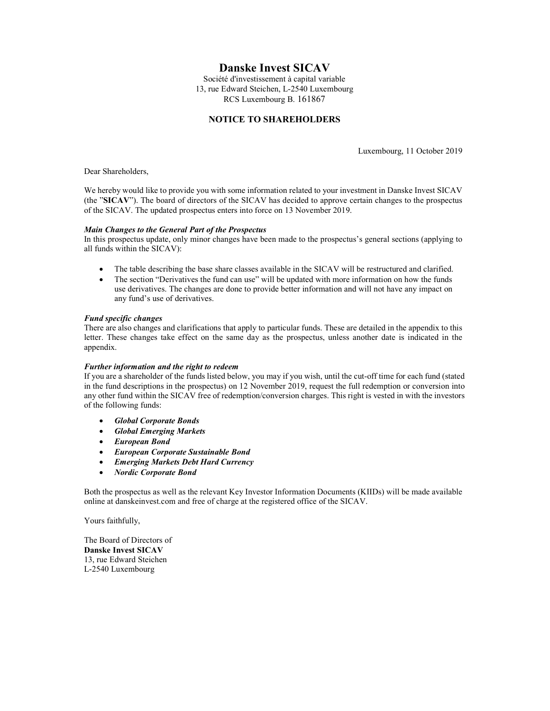# Danske Invest SICAV

Société d'investissement à capital variable 13, rue Edward Steichen, L-2540 Luxembourg RCS Luxembourg B. 161867

## NOTICE TO SHAREHOLDERS

Luxembourg, 11 October 2019

Dear Shareholders,

We hereby would like to provide you with some information related to your investment in Danske Invest SICAV (the "SICAV"). The board of directors of the SICAV has decided to approve certain changes to the prospectus of the SICAV. The updated prospectus enters into force on 13 November 2019.

### Main Changes to the General Part of the Prospectus

In this prospectus update, only minor changes have been made to the prospectus's general sections (applying to all funds within the SICAV):

- The table describing the base share classes available in the SICAV will be restructured and clarified.
- The section "Derivatives the fund can use" will be updated with more information on how the funds use derivatives. The changes are done to provide better information and will not have any impact on any fund's use of derivatives.

### Fund specific changes

There are also changes and clarifications that apply to particular funds. These are detailed in the appendix to this letter. These changes take effect on the same day as the prospectus, unless another date is indicated in the appendix.

### Further information and the right to redeem

If you are a shareholder of the funds listed below, you may if you wish, until the cut-off time for each fund (stated in the fund descriptions in the prospectus) on 12 November 2019, request the full redemption or conversion into any other fund within the SICAV free of redemption/conversion charges. This right is vested in with the investors of the following funds:

- Global Corporate Bonds
- **•** Global Emerging Markets
- European Bond
- European Corporate Sustainable Bond
- Emerging Markets Debt Hard Currency
- Nordic Corporate Bond

Both the prospectus as well as the relevant Key Investor Information Documents (KIIDs) will be made available online at danskeinvest.com and free of charge at the registered office of the SICAV.

Yours faithfully,

The Board of Directors of Danske Invest SICAV 13, rue Edward Steichen L-2540 Luxembourg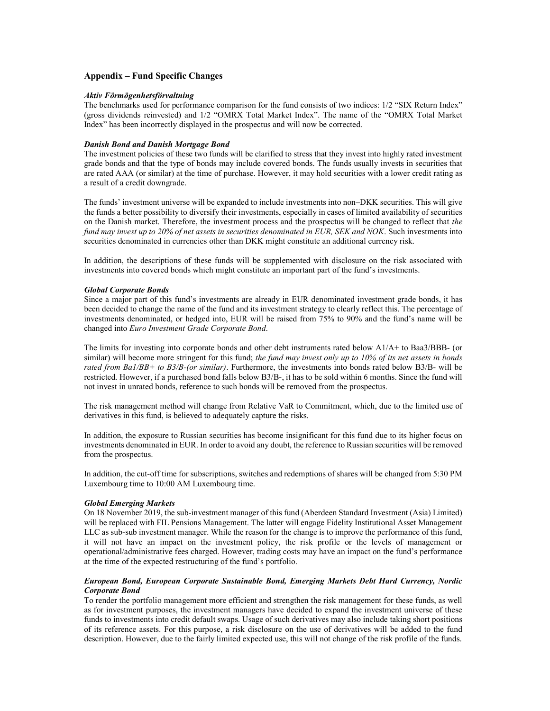### Appendix – Fund Specific Changes

#### Aktiv Förmögenhetsförvaltning

The benchmarks used for performance comparison for the fund consists of two indices: 1/2 "SIX Return Index" (gross dividends reinvested) and 1/2 "OMRX Total Market Index". The name of the "OMRX Total Market Index" has been incorrectly displayed in the prospectus and will now be corrected.

#### Danish Bond and Danish Mortgage Bond

The investment policies of these two funds will be clarified to stress that they invest into highly rated investment grade bonds and that the type of bonds may include covered bonds. The funds usually invests in securities that are rated AAA (or similar) at the time of purchase. However, it may hold securities with a lower credit rating as a result of a credit downgrade.

The funds' investment universe will be expanded to include investments into non–DKK securities. This will give the funds a better possibility to diversify their investments, especially in cases of limited availability of securities on the Danish market. Therefore, the investment process and the prospectus will be changed to reflect that the fund may invest up to 20% of net assets in securities denominated in EUR, SEK and NOK. Such investments into securities denominated in currencies other than DKK might constitute an additional currency risk.

In addition, the descriptions of these funds will be supplemented with disclosure on the risk associated with investments into covered bonds which might constitute an important part of the fund's investments.

#### Global Corporate Bonds

Since a major part of this fund's investments are already in EUR denominated investment grade bonds, it has been decided to change the name of the fund and its investment strategy to clearly reflect this. The percentage of investments denominated, or hedged into, EUR will be raised from 75% to 90% and the fund's name will be changed into Euro Investment Grade Corporate Bond.

The limits for investing into corporate bonds and other debt instruments rated below A1/A+ to Baa3/BBB- (or similar) will become more stringent for this fund; the fund may invest only up to  $10\%$  of its net assets in bonds rated from Ba1/BB+ to B3/B-(or similar). Furthermore, the investments into bonds rated below B3/B- will be restricted. However, if a purchased bond falls below B3/B-, it has to be sold within 6 months. Since the fund will not invest in unrated bonds, reference to such bonds will be removed from the prospectus.

The risk management method will change from Relative VaR to Commitment, which, due to the limited use of derivatives in this fund, is believed to adequately capture the risks.

In addition, the exposure to Russian securities has become insignificant for this fund due to its higher focus on investments denominated in EUR. In order to avoid any doubt, the reference to Russian securities will be removed from the prospectus.

In addition, the cut-off time for subscriptions, switches and redemptions of shares will be changed from 5:30 PM Luxembourg time to 10:00 AM Luxembourg time.

#### Global Emerging Markets

On 18 November 2019, the sub-investment manager of this fund (Aberdeen Standard Investment (Asia) Limited) will be replaced with FIL Pensions Management. The latter will engage Fidelity Institutional Asset Management LLC as sub-sub investment manager. While the reason for the change is to improve the performance of this fund, it will not have an impact on the investment policy, the risk profile or the levels of management or operational/administrative fees charged. However, trading costs may have an impact on the fund's performance at the time of the expected restructuring of the fund's portfolio.

### European Bond, European Corporate Sustainable Bond, Emerging Markets Debt Hard Currency, Nordic Corporate Bond

To render the portfolio management more efficient and strengthen the risk management for these funds, as well as for investment purposes, the investment managers have decided to expand the investment universe of these funds to investments into credit default swaps. Usage of such derivatives may also include taking short positions of its reference assets. For this purpose, a risk disclosure on the use of derivatives will be added to the fund description. However, due to the fairly limited expected use, this will not change of the risk profile of the funds.